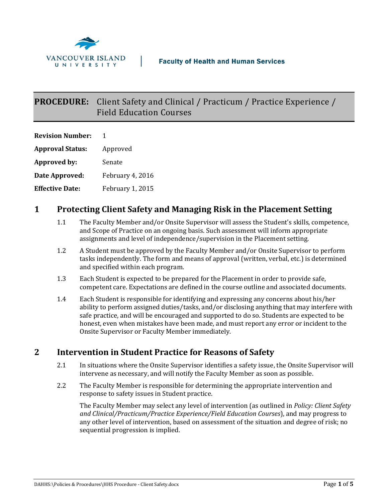

# **PROCEDURE:** Client Safety and Clinical / Practicum / Practice Experience / Field Education Courses

| <b>Revision Number:</b> | Ŧ                       |
|-------------------------|-------------------------|
| <b>Approval Status:</b> | Approved                |
| Approved by:            | Senate                  |
| Date Approved:          | February 4, 2016        |
| <b>Effective Date:</b>  | <b>February 1, 2015</b> |

### **1 Protecting Client Safety and Managing Risk in the Placement Setting**

- 1.1 The Faculty Member and/or Onsite Supervisor will assess the Student's skills, competence, and Scope of Practice on an ongoing basis. Such assessment will inform appropriate assignments and level of independence/supervision in the Placement setting.
- 1.2 A Student must be approved by the Faculty Member and/or Onsite Supervisor to perform tasks independently. The form and means of approval (written, verbal, etc.) is determined and specified within each program.
- 1.3 Each Student is expected to be prepared for the Placement in order to provide safe, competent care. Expectations are defined in the course outline and associated documents.
- 1.4 Each Student is responsible for identifying and expressing any concerns about his/her ability to perform assigned duties/tasks, and/or disclosing anything that may interfere with safe practice, and will be encouraged and supported to do so. Students are expected to be honest, even when mistakes have been made, and must report any error or incident to the Onsite Supervisor or Faculty Member immediately.

## **2 Intervention in Student Practice for Reasons of Safety**

- 2.1 In situations where the Onsite Supervisor identifies a safety issue, the Onsite Supervisor will intervene as necessary, and will notify the Faculty Member as soon as possible.
- 2.2 The Faculty Member is responsible for determining the appropriate intervention and response to safety issues in Student practice.

The Faculty Member may select any level of intervention (as outlined in *Policy: Client Safety and Clinical/Practicum/Practice Experience/Field Education Courses*), and may progress to any other level of intervention, based on assessment of the situation and degree of risk; no sequential progression is implied.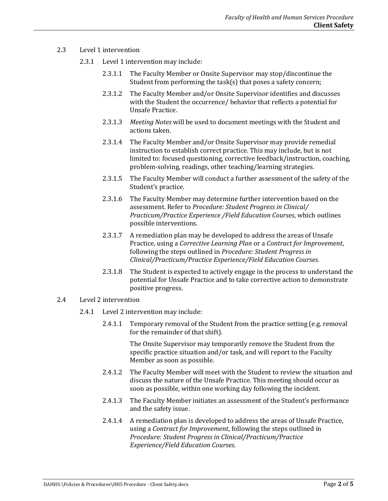- 2.3 Level 1 intervention
	- 2.3.1 Level 1 intervention may include:
		- 2.3.1.1 The Faculty Member or Onsite Supervisor may stop/discontinue the Student from performing the task(s) that poses a safety concern;
		- 2.3.1.2 The Faculty Member and/or Onsite Supervisor identifies and discusses with the Student the occurrence/ behavior that reflects a potential for Unsafe Practice.
		- 2.3.1.3 *Meeting Notes* will be used to document meetings with the Student and actions taken.
		- 2.3.1.4 The Faculty Member and/or Onsite Supervisor may provide remedial instruction to establish correct practice. This may include, but is not limited to: focused questioning, corrective feedback/instruction, coaching, problem-solving, readings, other teaching/learning strategies.
		- 2.3.1.5 The Faculty Member will conduct a further assessment of the safety of the Student's practice.
		- 2.3.1.6 The Faculty Member may determine further intervention based on the assessment. Refer to *Procedure: Student Progress in Clinical/ Practicum/Practice Experience /Field Education Courses*, which outlines possible interventions.
		- 2.3.1.7 A remediation plan may be developed to address the areas of Unsafe Practice, using a *Corrective Learning Plan* or a *Contract for Improvement*, following the steps outlined in *Procedure: Student Progress in Clinical/Practicum/Practice Experience/Field Education Courses*.
		- 2.3.1.8 The Student is expected to actively engage in the process to understand the potential for Unsafe Practice and to take corrective action to demonstrate positive progress.
- 2.4 Level 2 intervention
	- 2.4.1 Level 2 intervention may include:
		- 2.4.1.1 Temporary removal of the Student from the practice setting (e.g. removal for the remainder of that shift).

The Onsite Supervisor may temporarily remove the Student from the specific practice situation and/or task, and will report to the Faculty Member as soon as possible.

- 2.4.1.2 The Faculty Member will meet with the Student to review the situation and discuss the nature of the Unsafe Practice. This meeting should occur as soon as possible, within one working day following the incident.
- 2.4.1.3 The Faculty Member initiates an assessment of the Student's performance and the safety issue.
- 2.4.1.4 A remediation plan is developed to address the areas of Unsafe Practice, using a *Contract for Improvement*, following the steps outlined in *Procedure: Student Progress in Clinical/Practicum/Practice Experience/Field Education Courses*.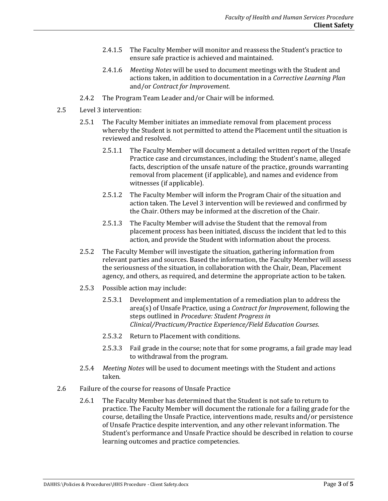- 2.4.1.5 The Faculty Member will monitor and reassess the Student's practice to ensure safe practice is achieved and maintained.
- 2.4.1.6 *Meeting Notes* will be used to document meetings with the Student and actions taken, in addition to documentation in a *Corrective Learning Plan* and/or *Contract for Improvement*.
- 2.4.2 The Program Team Leader and/or Chair will be informed.
- 2.5 Level 3 intervention:
	- 2.5.1 The Faculty Member initiates an immediate removal from placement process whereby the Student is not permitted to attend the Placement until the situation is reviewed and resolved.
		- 2.5.1.1 The Faculty Member will document a detailed written report of the Unsafe Practice case and circumstances, including: the Student's name, alleged facts, description of the unsafe nature of the practice, grounds warranting removal from placement (if applicable), and names and evidence from witnesses (if applicable).
		- 2.5.1.2 The Faculty Member will inform the Program Chair of the situation and action taken. The Level 3 intervention will be reviewed and confirmed by the Chair. Others may be informed at the discretion of the Chair.
		- 2.5.1.3 The Faculty Member will advise the Student that the removal from placement process has been initiated, discuss the incident that led to this action, and provide the Student with information about the process.
	- 2.5.2 The Faculty Member will investigate the situation, gathering information from relevant parties and sources. Based the information, the Faculty Member will assess the seriousness of the situation, in collaboration with the Chair, Dean, Placement agency, and others, as required, and determine the appropriate action to be taken.
	- 2.5.3 Possible action may include:
		- 2.5.3.1 Development and implementation of a remediation plan to address the area(s) of Unsafe Practice, using a *Contract for Improvement*, following the steps outlined in *Procedure: Student Progress in Clinical/Practicum/Practice Experience/Field Education Courses*.
		- 2.5.3.2 Return to Placement with conditions.
		- 2.5.3.3 Fail grade in the course; note that for some programs, a fail grade may lead to withdrawal from the program.
	- 2.5.4 *Meeting Notes* will be used to document meetings with the Student and actions taken.
- 2.6 Failure of the course for reasons of Unsafe Practice
	- 2.6.1 The Faculty Member has determined that the Student is not safe to return to practice. The Faculty Member will document the rationale for a failing grade for the course, detailing the Unsafe Practice, interventions made, results and/or persistence of Unsafe Practice despite intervention, and any other relevant information. The Student's performance and Unsafe Practice should be described in relation to course learning outcomes and practice competencies.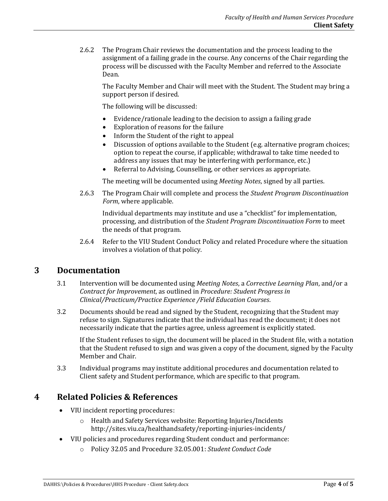2.6.2 The Program Chair reviews the documentation and the process leading to the assignment of a failing grade in the course. Any concerns of the Chair regarding the process will be discussed with the Faculty Member and referred to the Associate Dean.

The Faculty Member and Chair will meet with the Student. The Student may bring a support person if desired.

The following will be discussed:

- Evidence/rationale leading to the decision to assign a failing grade
- Exploration of reasons for the failure
- Inform the Student of the right to appeal
- Discussion of options available to the Student (e.g. alternative program choices; option to repeat the course, if applicable; withdrawal to take time needed to address any issues that may be interfering with performance, etc.)
- Referral to Advising, Counselling, or other services as appropriate.

The meeting will be documented using *Meeting Notes*, signed by all parties.

2.6.3 The Program Chair will complete and process the *Student Program Discontinuation Form*, where applicable.

Individual departments may institute and use a "checklist" for implementation, processing, and distribution of the *Student Program Discontinuation Form* to meet the needs of that program.

2.6.4 Refer to the VIU Student Conduct Policy and related Procedure where the situation involves a violation of that policy.

#### **3 Documentation**

- 3.1 Intervention will be documented using *Meeting Notes*, a *Corrective Learning Plan*, and/or a *Contract for Improvement*, as outlined in *Procedure: Student Progress in Clinical/Practicum/Practice Experience /Field Education Courses*.
- 3.2 Documents should be read and signed by the Student, recognizing that the Student may refuse to sign. Signatures indicate that the individual has read the document; it does not necessarily indicate that the parties agree, unless agreement is explicitly stated.

If the Student refuses to sign, the document will be placed in the Student file, with a notation that the Student refused to sign and was given a copy of the document, signed by the Faculty Member and Chair.

3.3 Individual programs may institute additional procedures and documentation related to Client safety and Student performance, which are specific to that program.

#### **4 Related Policies & References**

- VIU incident reporting procedures:
	- o Health and Safety Services website: Reporting Injuries/Incidents http://sites.viu.ca/healthandsafety/reporting-injuries-incidents/
- VIU policies and procedures regarding Student conduct and performance:
	- o Policy 32.05 and Procedure 32.05.001: *Student Conduct Code*